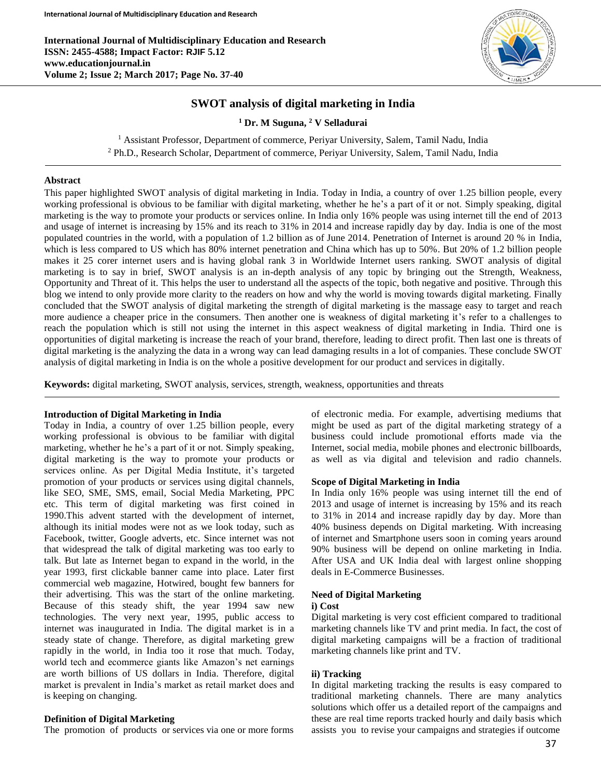

# **SWOT analysis of digital marketing in India**

**<sup>1</sup> Dr. M Suguna, <sup>2</sup> V Selladurai**

<sup>1</sup> Assistant Professor, Department of commerce, Periyar University, Salem, Tamil Nadu, India <sup>2</sup> Ph.D., Research Scholar, Department of commerce, Periyar University, Salem, Tamil Nadu, India

### **Abstract**

This paper highlighted SWOT analysis of digital marketing in India. Today in India, a country of over 1.25 billion people, every working professional is obvious to be familiar with digital marketing, whether he he's a part of it or not. Simply speaking, digital marketing is the way to promote your products or services online. In India only 16% people was using internet till the end of 2013 and usage of internet is increasing by 15% and its reach to 31% in 2014 and increase rapidly day by day. India is one of the most populated countries in the world, with a population of 1.2 billion as of June 2014. Penetration of Internet is around 20 % in India, which is less compared to US which has 80% internet penetration and China which has up to 50%. But 20% of 1.2 billion people makes it 25 corer internet users and is having global rank 3 in Worldwide Internet users ranking. SWOT analysis of digital marketing is to say in brief, SWOT analysis is an in-depth analysis of any topic by bringing out the Strength, Weakness, Opportunity and Threat of it. This helps the user to understand all the aspects of the topic, both negative and positive. Through this blog we intend to only provide more clarity to the readers on how and why the world is moving towards digital marketing. Finally concluded that the SWOT analysis of digital marketing the strength of digital marketing is the massage easy to target and reach more audience a cheaper price in the consumers. Then another one is weakness of digital marketing it's refer to a challenges to reach the population which is still not using the internet in this aspect weakness of digital marketing in India. Third one is opportunities of digital marketing is increase the reach of your brand, therefore, leading to direct profit. Then last one is threats of digital marketing is the analyzing the data in a wrong way can lead damaging results in a lot of companies. These conclude SWOT analysis of digital marketing in India is on the whole a positive development for our product and services in digitally.

**Keywords:** digital marketing, SWOT analysis, services, strength, weakness, opportunities and threats

#### **Introduction of Digital Marketing in India**

Today in India, a country of over 1.25 billion people, every working professional is obvious to be familiar with digital marketing, whether he he's a part of it or not. Simply speaking, digital marketing is the way to promote your products or services online. As per Digital Media Institute, it's targeted promotion of your products or services using digital channels, like SEO, SME, SMS, email, Social Media Marketing, PPC etc. This term of digital marketing was first coined in 1990.This advent started with the development of internet, although its initial modes were not as we look today, such as Facebook, twitter, Google adverts, etc. Since internet was not that widespread the talk of digital marketing was too early to talk. But late as Internet began to expand in the world, in the year 1993, first clickable banner came into place. Later first commercial web magazine, Hotwired, bought few banners for their advertising. This was the start of the online marketing. Because of this steady shift, the year 1994 saw new technologies. The very next year, 1995, public access to internet was inaugurated in India. The digital market is in a steady state of change. Therefore, as digital marketing grew rapidly in the world, in India too it rose that much. Today, world tech and ecommerce giants like Amazon's net earnings are worth billions of US dollars in India. Therefore, digital market is prevalent in India's market as retail market does and is keeping on changing.

## **Definition of Digital Marketing**

The promotion of products or services via one or more forms

of electronic media. For example, advertising mediums that might be used as part of the digital marketing strategy of a business could include promotional efforts made via the Internet, social media, mobile phones and electronic billboards, as well as via digital and television and radio channels.

#### **Scope of Digital Marketing in India**

In India only 16% people was using internet till the end of 2013 and usage of internet is increasing by 15% and its reach to 31% in 2014 and increase rapidly day by day. More than 40% business depends on Digital marketing. With increasing of internet and Smartphone users soon in coming years around 90% business will be depend on online marketing in India. After USA and UK India deal with largest online shopping deals in E-Commerce Businesses.

#### **Need of Digital Marketing**

### **i) Cost**

Digital marketing is very cost efficient compared to traditional marketing channels like TV and print media. In fact, the cost of digital marketing campaigns will be a fraction of traditional marketing channels like print and TV.

#### **ii) Tracking**

In digital marketing tracking the results is easy compared to traditional marketing channels. There are many analytics solutions which offer us a detailed report of the campaigns and these are real time reports tracked hourly and daily basis which assists you to revise your campaigns and strategies if outcome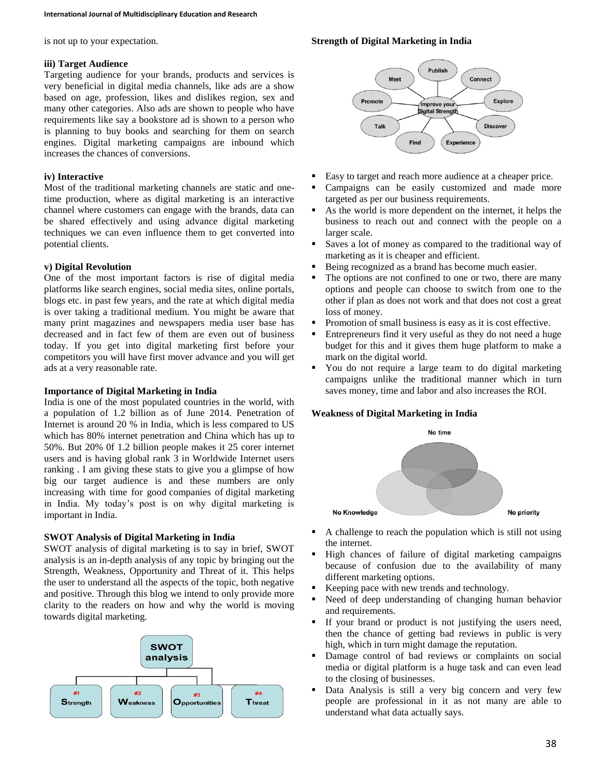is not up to your expectation.

### **iii) Target Audience**

Targeting audience for your brands, products and services is very beneficial in digital media channels, like ads are a show based on age, profession, likes and dislikes region, sex and many other categories. Also ads are shown to people who have requirements like say a bookstore ad is shown to a person who is planning to buy books and searching for them on search engines. Digital marketing campaigns are inbound which increases the chances of conversions.

## **iv) Interactive**

Most of the traditional marketing channels are static and onetime production, where as digital marketing is an interactive channel where customers can engage with the brands, data can be shared effectively and using advance digital marketing techniques we can even influence them to get converted into potential clients.

## **v) Digital Revolution**

One of the most important factors is rise of digital media platforms like search engines, social media sites, online portals, blogs etc. in past few years, and the rate at which digital media is over taking a traditional medium. You might be aware that many print magazines and newspapers media user base has decreased and in fact few of them are even out of business today. If you get into digital marketing first before your competitors you will have first mover advance and you will get ads at a very reasonable rate.

## **Importance of Digital Marketing in India**

India is one of the most populated countries in the world, with a population of 1.2 billion as of June 2014. Penetration of Internet is around 20 % in India, which is less compared to US which has 80% internet penetration and China which has up to 50%. But 20% 0f 1.2 billion people makes it 25 corer internet users and is having global rank 3 in Worldwide Internet users ranking . I am giving these stats to give you a glimpse of how big our target audience is and these numbers are only increasing with time for good companies of digital marketing in India. My today's post is on why digital marketing is important in India.

## **SWOT Analysis of Digital Marketing in India**

SWOT analysis of digital marketing is to say in brief, SWOT analysis is an in-depth analysis of any topic by bringing out the Strength, Weakness, Opportunity and Threat of it. This helps the user to understand all the aspects of the topic, both negative and positive. Through this blog we intend to only provide more clarity to the readers on how and why the world is moving towards digital marketing.



# **Strength of Digital Marketing in India**



- Easy to target and reach more audience at a cheaper price.
- Campaigns can be easily customized and made more targeted as per our business requirements.
- As the world is more dependent on the internet, it helps the business to reach out and connect with the people on a larger scale.
- Saves a lot of money as compared to the traditional way of marketing as it is cheaper and efficient.
- Being recognized as a brand has become much easier.
- The options are not confined to one or two, there are many options and people can choose to switch from one to the other if plan as does not work and that does not cost a great loss of money.
- Promotion of small business is easy as it is cost effective.
- Entrepreneurs find it very useful as they do not need a huge budget for this and it gives them huge platform to make a mark on the digital world.
- You do not require a large team to do digital marketing campaigns unlike the traditional manner which in turn saves money, time and labor and also increases the ROI.

## **Weakness of Digital Marketing in India**



- A challenge to reach the population which is still not using the internet.
- High chances of failure of digital marketing campaigns because of confusion due to the availability of many different marketing options.
- Keeping pace with new trends and technology.
- Need of deep understanding of changing human behavior and requirements.
- If your brand or product is not justifying the users need, then the chance of getting bad reviews in public is very high, which in turn might damage the reputation.
- Damage control of bad reviews or complaints on social media or digital platform is a huge task and can even lead to the closing of businesses.
- Data Analysis is still a very big concern and very few people are professional in it as not many are able to understand what data actually says.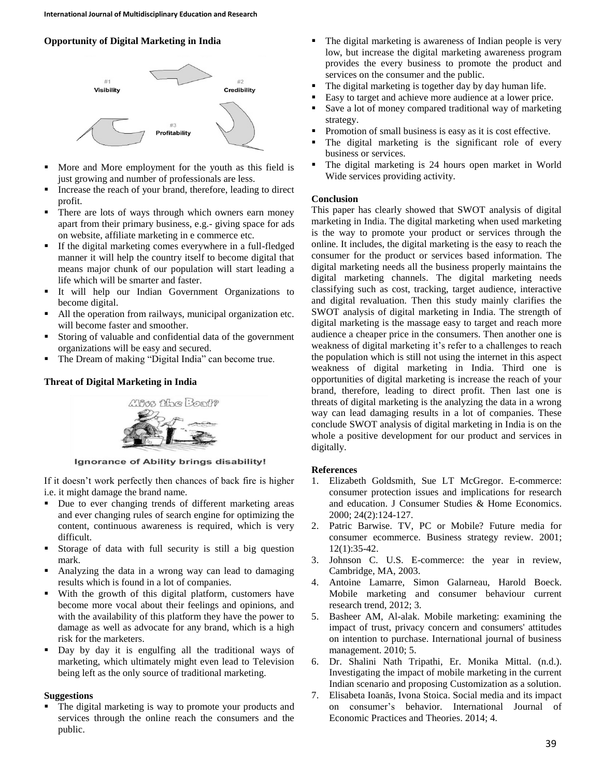# **Opportunity of Digital Marketing in India**



- More and More employment for the youth as this field is just growing and number of professionals are less.
- Increase the reach of your brand, therefore, leading to direct profit.
- There are lots of ways through which owners earn money apart from their primary business, e.g.- giving space for ads on website, affiliate marketing in e commerce etc.
- If the digital marketing comes everywhere in a full-fledged manner it will help the country itself to become digital that means major chunk of our population will start leading a life which will be smarter and faster.
- It will help our Indian Government Organizations to become digital.
- All the operation from railways, municipal organization etc. will become faster and smoother.
- Storing of valuable and confidential data of the government organizations will be easy and secured.
- The Dream of making "Digital India" can become true.

# **Threat of Digital Marketing in India**



Ignorance of Ability brings disability!

If it doesn't work perfectly then chances of back fire is higher i.e. it might damage the brand name.

- Due to ever changing trends of different marketing areas and ever changing rules of search engine for optimizing the content, continuous awareness is required, which is very difficult.
- Storage of data with full security is still a big question mark.
- Analyzing the data in a wrong way can lead to damaging results which is found in a lot of companies.
- With the growth of this digital platform, customers have become more vocal about their feelings and opinions, and with the availability of this platform they have the power to damage as well as advocate for any brand, which is a high risk for the marketers.
- Day by day it is engulfing all the traditional ways of marketing, which ultimately might even lead to Television being left as the only source of traditional marketing.

## **Suggestions**

 The digital marketing is way to promote your products and services through the online reach the consumers and the public.

- The digital marketing is awareness of Indian people is very low, but increase the digital marketing awareness program provides the every business to promote the product and services on the consumer and the public.
- The digital marketing is together day by day human life.
- Easy to target and achieve more audience at a lower price.
- Save a lot of money compared traditional way of marketing strategy.
- Promotion of small business is easy as it is cost effective.
- The digital marketing is the significant role of every business or services.
- The digital marketing is 24 hours open market in World Wide services providing activity.

## **Conclusion**

This paper has clearly showed that SWOT analysis of digital marketing in India. The digital marketing when used marketing is the way to promote your product or services through the online. It includes, the digital marketing is the easy to reach the consumer for the product or services based information. The digital marketing needs all the business properly maintains the digital marketing channels. The digital marketing needs classifying such as cost, tracking, target audience, interactive and digital revaluation. Then this study mainly clarifies the SWOT analysis of digital marketing in India. The strength of digital marketing is the massage easy to target and reach more audience a cheaper price in the consumers. Then another one is weakness of digital marketing it's refer to a challenges to reach the population which is still not using the internet in this aspect weakness of digital marketing in India. Third one is opportunities of digital marketing is increase the reach of your brand, therefore, leading to direct profit. Then last one is threats of digital marketing is the analyzing the data in a wrong way can lead damaging results in a lot of companies. These conclude SWOT analysis of digital marketing in India is on the whole a positive development for our product and services in digitally.

## **References**

- 1. Elizabeth Goldsmith, Sue LT McGregor. E-commerce: consumer protection issues and implications for research and education. J Consumer Studies & Home Economics. 2000; 24(2):124-127.
- 2. Patric Barwise. TV, PC or Mobile? Future media for consumer ecommerce. Business strategy review. 2001; 12(1):35-42.
- 3. Johnson C. U.S. E-commerce: the year in review, Cambridge, MA, 2003.
- 4. Antoine Lamarre, Simon Galarneau, Harold Boeck. Mobile marketing and consumer behaviour current research trend, 2012; 3.
- 5. Basheer AM, Al-alak. Mobile marketing: examining the impact of trust, privacy concern and consumers' attitudes on intention to purchase. International journal of business management. 2010; 5.
- 6. Dr. Shalini Nath Tripathi, Er. Monika Mittal. (n.d.). Investigating the impact of mobile marketing in the current Indian scenario and proposing Customization as a solution.
- 7. Elisabeta Ioanăs, Ivona Stoica. Social media and its impact on consumer's behavior. International Journal of Economic Practices and Theories. 2014; 4.